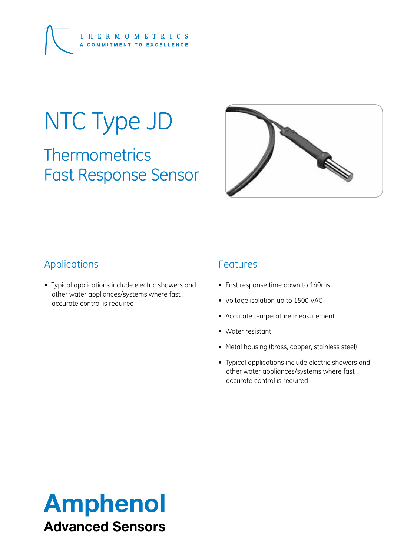

# NTC Type JD

**Thermometrics** Fast Response Sensor



### Applications

• Typical applications include electric showers and other water appliances/systems where fast , accurate control is required

#### Features

- Fast response time down to 140ms
- • Voltage isolation up to 1500 VAC
- • Accurate temperature measurement
- Water resistant
- Metal housing (brass, copper, stainless steel)
- • Typical applications include electric showers and other water appliances/systems where fast , accurate control is required

# Amphenol Advanced Sensors